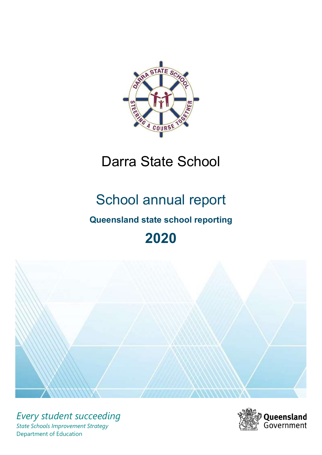

# Darra State School

# School annual report

# Queensland state school reporting

# 2020



Every student succeeding State Schools Improvement Strategy Department of Education

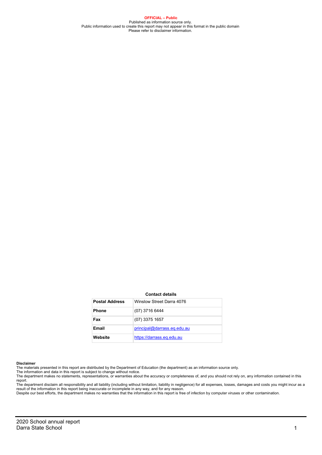OFFICIAL – Public Published as information source only.<br>Public information used to create this report may not appear in this format in the public domain<br>Please refer to disclaimer information.

#### Contact details

| <b>Postal Address</b> | Winslow Street Darra 4076   |
|-----------------------|-----------------------------|
| <b>Phone</b>          | (07) 3716 6444              |
| Fax                   | $(07)$ 3375 1657            |
| Email                 | principal@darrass.eq.edu.au |
| Website               | https://darrass.eq.edu.au   |

#### Disclaimer

The materials presented in this report are distributed by the Department of Education (the department) as an information source only. The information and data in this report is subject to change without notice.

The department makes no statements, representations, or warranties about the accuracy or completeness of, and you should not rely on, any information contained in this report.

The department disclaim all responsibility and all liability (including without limitation, liability in negligence) for all expenses, losses, damages and costs you might incur as a<br>result of the information in this report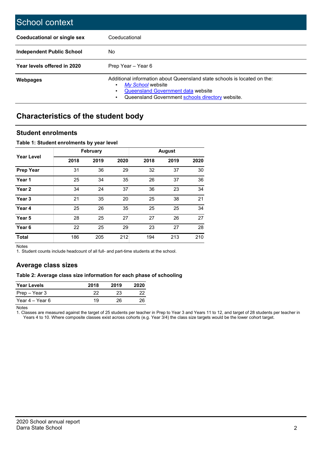| School context                     |                                                                                                                                                                                                |
|------------------------------------|------------------------------------------------------------------------------------------------------------------------------------------------------------------------------------------------|
| <b>Coeducational or single sex</b> | Coeducational                                                                                                                                                                                  |
| Independent Public School          | No                                                                                                                                                                                             |
| Year levels offered in 2020        | Prep Year - Year 6                                                                                                                                                                             |
| <b>Webpages</b>                    | Additional information about Queensland state schools is located on the:<br>My School website<br><b>Queensland Government data website</b><br>Queensland Government schools directory website. |

## Characteristics of the student body

### Student enrolments

#### Table 1: Student enrolments by year level

|                   |      | <b>February</b> |      |      | <b>August</b> |      |
|-------------------|------|-----------------|------|------|---------------|------|
| <b>Year Level</b> | 2018 | 2019            | 2020 | 2018 | 2019          | 2020 |
| <b>Prep Year</b>  | 31   | 36              | 29   | 32   | 37            | 30   |
| Year 1            | 25   | 34              | 35   | 26   | 37            | 36   |
| Year 2            | 34   | 24              | 37   | 36   | 23            | 34   |
| Year <sub>3</sub> | 21   | 35              | 20   | 25   | 38            | 21   |
| Year 4            | 25   | 26              | 35   | 25   | 25            | 34   |
| Year 5            | 28   | 25              | 27   | 27   | 26            | 27   |
| Year <sub>6</sub> | 22   | 25              | 29   | 23   | 27            | 28   |
| <b>Total</b>      | 186  | 205             | 212  | 194  | 213           | 210  |

Notes

1. Student counts include headcount of all full- and part-time students at the school.

## Average class sizes

#### Table 2: Average class size information for each phase of schooling

| <b>Year Levels</b> | 2018 | 2019 | 2020 |
|--------------------|------|------|------|
| Prep – Year 3      | つつ   | 23   | フフ   |
| Year 4 – Year 6    | 19   | 26   | 26   |

Notes

1. Classes are measured against the target of 25 students per teacher in Prep to Year 3 and Years 11 to 12, and target of 28 students per teacher in Years 4 to 10. Where composite classes exist across cohorts (e.g. Year 3/4) the class size targets would be the lower cohort target.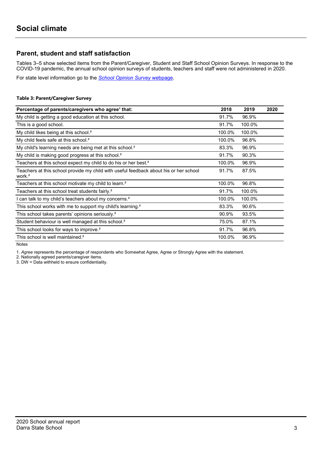## Parent, student and staff satisfaction

Tables 3–5 show selected items from the Parent/Caregiver, Student and Staff School Opinion Surveys. In response to the COVID-19 pandemic, the annual school opinion surveys of students, teachers and staff were not administered in 2020.

For state level information go to the School Opinion Survey webpage.

#### Table 3: Parent/Caregiver Survey

| Percentage of parents/caregivers who agree <sup>1</sup> that:                                               | 2018   | 2019   | 2020 |
|-------------------------------------------------------------------------------------------------------------|--------|--------|------|
| My child is getting a good education at this school.                                                        | 91.7%  | 96.9%  |      |
| This is a good school.                                                                                      | 91.7%  | 100.0% |      |
| My child likes being at this school. <sup>2</sup>                                                           | 100.0% | 100.0% |      |
| My child feels safe at this school. <sup>2</sup>                                                            | 100.0% | 96.8%  |      |
| My child's learning needs are being met at this school. <sup>2</sup>                                        | 83.3%  | 96.9%  |      |
| My child is making good progress at this school. <sup>2</sup>                                               | 91.7%  | 90.3%  |      |
| Teachers at this school expect my child to do his or her best. <sup>2</sup>                                 | 100.0% | 96.9%  |      |
| Teachers at this school provide my child with useful feedback about his or her school<br>work. <sup>2</sup> | 91.7%  | 87.5%  |      |
| Teachers at this school motivate my child to learn. <sup>2</sup>                                            | 100.0% | 96.8%  |      |
| Teachers at this school treat students fairly. <sup>2</sup>                                                 | 91.7%  | 100.0% |      |
| I can talk to my child's teachers about my concerns. <sup>2</sup>                                           | 100.0% | 100.0% |      |
| This school works with me to support my child's learning. <sup>2</sup>                                      | 83.3%  | 90.6%  |      |
| This school takes parents' opinions seriously. <sup>2</sup>                                                 | 90.9%  | 93.5%  |      |
| Student behaviour is well managed at this school. <sup>2</sup>                                              | 75.0%  | 87.1%  |      |
| This school looks for ways to improve. <sup>2</sup>                                                         | 91.7%  | 96.8%  |      |
| This school is well maintained. <sup>2</sup>                                                                | 100.0% | 96.9%  |      |

Notes

1. Agree represents the percentage of respondents who Somewhat Agree, Agree or Strongly Agree with the statement.

2. Nationally agreed parents/caregiver items.

3. DW = Data withheld to ensure confidentiality.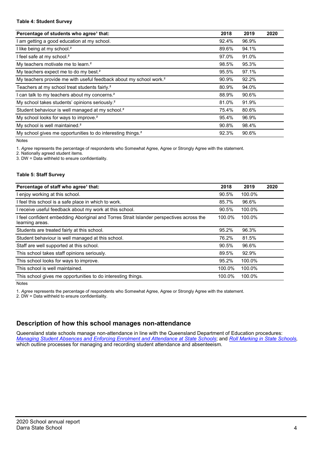#### Table 4: Student Survey

| Percentage of students who agree <sup>1</sup> that:                            | 2018  | 2019  | 2020 |
|--------------------------------------------------------------------------------|-------|-------|------|
| am getting a good education at my school.                                      | 92.4% | 96.9% |      |
| I like being at my school. <sup>2</sup>                                        | 89.6% | 94.1% |      |
| I feel safe at my school. <sup>2</sup>                                         | 97.0% | 91.0% |      |
| My teachers motivate me to learn. <sup>2</sup>                                 | 98.5% | 95.3% |      |
| My teachers expect me to do my best. <sup>2</sup>                              | 95.5% | 97.1% |      |
| My teachers provide me with useful feedback about my school work. <sup>2</sup> | 90.9% | 92.2% |      |
| Teachers at my school treat students fairly. <sup>2</sup>                      | 80.9% | 94.0% |      |
| can talk to my teachers about my concerns. <sup>2</sup>                        | 88.9% | 90.6% |      |
| My school takes students' opinions seriously. <sup>2</sup>                     | 81.0% | 91.9% |      |
| Student behaviour is well managed at my school. <sup>2</sup>                   | 75.4% | 80.6% |      |
| My school looks for ways to improve. <sup>2</sup>                              | 95.4% | 96.9% |      |
| My school is well maintained. <sup>2</sup>                                     | 90.8% | 98.4% |      |
| My school gives me opportunities to do interesting things. <sup>2</sup>        | 92.3% | 90.6% |      |

Notes

1. Agree represents the percentage of respondents who Somewhat Agree, Agree or Strongly Agree with the statement.

2. Nationally agreed student items.

3. DW = Data withheld to ensure confidentiality.

#### Table 5: Staff Survey

| Percentage of staff who agree <sup>1</sup> that:                                                            | 2018   | 2019   | 2020 |
|-------------------------------------------------------------------------------------------------------------|--------|--------|------|
| I enjoy working at this school.                                                                             | 90.5%  | 100.0% |      |
| I feel this school is a safe place in which to work.                                                        | 85.7%  | 96.6%  |      |
| I receive useful feedback about my work at this school.                                                     | 90.5%  | 100.0% |      |
| I feel confident embedding Aboriginal and Torres Strait Islander perspectives across the<br>learning areas. | 100.0% | 100.0% |      |
| Students are treated fairly at this school.                                                                 | 95.2%  | 96.3%  |      |
| Student behaviour is well managed at this school.                                                           | 76.2%  | 81.5%  |      |
| Staff are well supported at this school.                                                                    | 90.5%  | 96.6%  |      |
| This school takes staff opinions seriously.                                                                 | 89.5%  | 92.9%  |      |
| This school looks for ways to improve.                                                                      | 95.2%  | 100.0% |      |
| This school is well maintained.                                                                             | 100.0% | 100.0% |      |
| This school gives me opportunities to do interesting things.                                                | 100.0% | 100.0% |      |

Notes

1. Agree represents the percentage of respondents who Somewhat Agree, Agree or Strongly Agree with the statement.

2. DW = Data withheld to ensure confidentiality.

## Description of how this school manages non-attendance

Queensland state schools manage non-attendance in line with the Queensland Department of Education procedures: Managing Student Absences and Enforcing Enrolment and Attendance at State Schools; and Roll Marking in State Schools, which outline processes for managing and recording student attendance and absenteeism.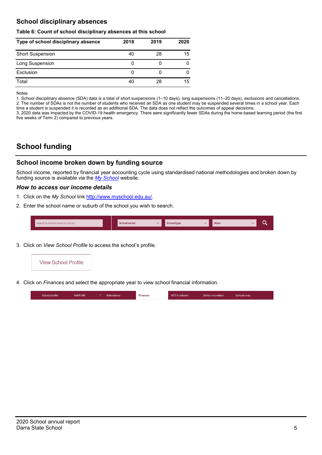## School disciplinary absences

#### Table 6: Count of school disciplinary absences at this school

| Type of school disciplinary absence | 2018 | 2019 | 2020 |
|-------------------------------------|------|------|------|
| <b>Short Suspension</b>             | 40   | 28   | 15   |
| Long Suspension                     | U    |      |      |
| Exclusion                           | O    |      |      |
| Total                               | 40   | 28   | 15   |

Notes

1. School disciplinary absence (SDA) data is a total of short suspensions (1–10 days), long suspensions (11–20 days), exclusions and cancellations. 2. The number of SDAs is not the number of students who received an SDA as one student may be suspended several times in a school year. Each time a student is suspended it is recorded as an additional SDA. The data does not reflect the outcomes of appeal decisions.

3. 2020 data was impacted by the COVID-19 health emergency. There were significantly fewer SDAs during the home-based learning period (the first five weeks of Term 2) compared to previous years.

# School funding

## School income broken down by funding source

School income, reported by financial year accounting cycle using standardised national methodologies and broken down by funding source is available via the  $My$  School website.

#### How to access our income details

- 1. Click on the My School link http://www.myschool.edu.au/.
- 2. Enter the school name or suburb of the school you wish to search.

| Search by school name or suburb | <b>School sector</b> | <b>School type</b> | <b>State</b> | ∽ |  |
|---------------------------------|----------------------|--------------------|--------------|---|--|
|                                 |                      |                    |              |   |  |

3. Click on View School Profile to access the school's profile.



4. Click on Finances and select the appropriate year to view school financial information.

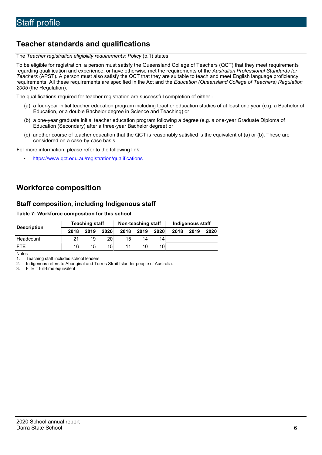# Teacher standards and qualifications

The Teacher registration eligibility requirements: Policy (p.1) states:

To be eligible for registration, a person must satisfy the Queensland College of Teachers (QCT) that they meet requirements regarding qualification and experience, or have otherwise met the requirements of the Australian Professional Standards for Teachers (APST). A person must also satisfy the QCT that they are suitable to teach and meet English language proficiency requirements. All these requirements are specified in the Act and the Education (Queensland College of Teachers) Regulation 2005 (the Regulation).

The qualifications required for teacher registration are successful completion of either -

- (a) a four-year initial teacher education program including teacher education studies of at least one year (e.g. a Bachelor of Education, or a double Bachelor degree in Science and Teaching) or
- (b) a one-year graduate initial teacher education program following a degree (e.g. a one-year Graduate Diploma of Education (Secondary) after a three-year Bachelor degree) or
- (c) another course of teacher education that the QCT is reasonably satisfied is the equivalent of (a) or (b). These are considered on a case-by-case basis.

For more information, please refer to the following link:

• https://www.qct.edu.au/registration/qualifications

# Workforce composition

## Staff composition, including Indigenous staff

#### Table 7: Workforce composition for this school

|                    | <b>Teaching staff</b> |      |                 | Non-teaching staff |      |      | Indigenous staff |      |      |
|--------------------|-----------------------|------|-----------------|--------------------|------|------|------------------|------|------|
| <b>Description</b> | 2018                  | 2019 | 2020            | 2018               | 2019 | 2020 | 2018             | 2019 | 2020 |
| Headcount          | 21                    | 19   | 20 <sub>1</sub> | 15                 | 14   | 14   |                  |      |      |
| <b>FTF</b>         | 16                    | 15   | 15 <sup>1</sup> | 11                 | 10   | 10   |                  |      |      |

**Notes** 

1. Teaching staff includes school leaders.<br>2. Indigenous refers to Aboriginal and Tor

2. Indigenous refers to Aboriginal and Torres Strait Islander people of Australia.<br>3. FTE = full-time equivalent

 $FTE = full-time equivalent$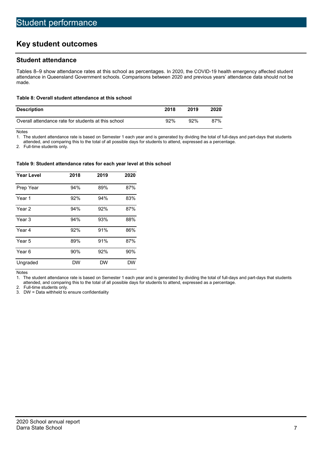# Key student outcomes

## Student attendance

Tables 8–9 show attendance rates at this school as percentages. In 2020, the COVID-19 health emergency affected student attendance in Queensland Government schools. Comparisons between 2020 and previous years' attendance data should not be made.

#### Table 8: Overall student attendance at this school

| <b>Description</b>                                  | 2018   | 2019 | 2020 |
|-----------------------------------------------------|--------|------|------|
| Overall attendance rate for students at this school | $92\%$ | 92%  | 87%  |

Notes

1. The student attendance rate is based on Semester 1 each year and is generated by dividing the total of full-days and part-days that students

attended, and comparing this to the total of all possible days for students to attend, expressed as a percentage.

2. Full-time students only.

#### Table 9: Student attendance rates for each year level at this school

| <b>Year Level</b> | 2018      | 2019      | 2020      |
|-------------------|-----------|-----------|-----------|
| Prep Year         | 94%       | 89%       | 87%       |
| Year 1            | 92%       | 94%       | 83%       |
| Year 2            | 94%       | 92%       | 87%       |
| Year 3            | 94%       | 93%       | 88%       |
| Year 4            | 92%       | 91%       | 86%       |
| Year 5            | 89%       | 91%       | 87%       |
| Year <sub>6</sub> | 90%       | 92%       | 90%       |
| Ungraded          | <b>DW</b> | <b>DW</b> | <b>DW</b> |

Notes

1. The student attendance rate is based on Semester 1 each year and is generated by dividing the total of full-days and part-days that students attended, and comparing this to the total of all possible days for students to attend, expressed as a percentage.

2. Full-time students only.

3. DW = Data withheld to ensure confidentiality